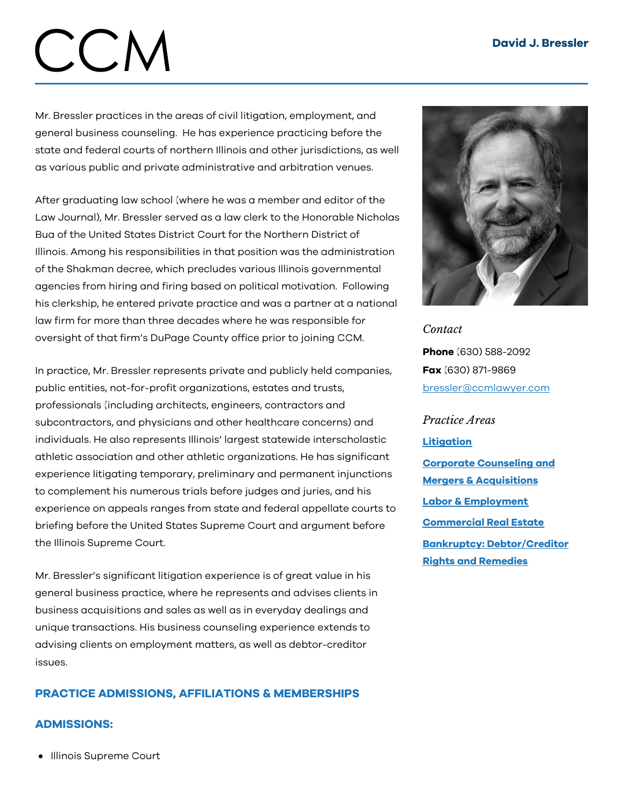# CCM

Mr. Bressler practices in the areas of civil litigation, employment, and general business counseling. He has experience practicing before the state and federal courts of northern Illinois and other jurisdictions, as well as various public and private administrative and arbitration venues.

After graduating law school (where he was a member and editor of the Law Journal), Mr. Bressler served as a law clerk to the Honorable Nicholas Bua of the United States District Court for the Northern District of Illinois. Among his responsibilities in that position was the administration of the Shakman decree, which precludes various Illinois governmental agencies from hiring and firing based on political motivation. Following his clerkship, he entered private practice and was a partner at a national law firm for more than three decades where he was responsible for oversight of that firm's DuPage County office prior to joining CCM.

In practice, Mr. Bressler represents private and publicly held companies, public entities, not-for-profit organizations, estates and trusts, professionals (including architects, engineers, contractors and subcontractors, and physicians and other healthcare concerns) and individuals. He also represents Illinois' largest statewide interscholastic athletic association and other athletic organizations. He has significant experience litigating temporary, preliminary and permanent injunctions to complement his numerous trials before judges and juries, and his experience on appeals ranges from state and federal appellate courts to briefing before the United States Supreme Court and argument before the Illinois Supreme Court.

Mr. Bressler's significant litigation experience is of great value in his general business practice, where he represents and advises clients in business acquisitions and sales as well as in everyday dealings and unique transactions. His business counseling experience extends to advising clients on employment matters, as well as debtor-creditor issues.

# PRACTICE ADMISSIONS, AFFILIATIONS & MEMBERSHIPS

## ADMISSIONS:

• Illinois Supreme Court



*Contact* Phone (630) 588-2092 Fax (630) 871-9869 [bressler@ccmlawyer.com](mailto:bressler@ccmlawyer.com)

# *Practice Areas* **[Litigation](https://www.ccmlawyer.com/practice-areas/litigation/)**

Corporate Counseling and Mergers & [Acquisitions](https://www.ccmlawyer.com/practice-areas/corporate-counseling-mergers-acquistions/) Labor & [Employment](https://www.ccmlawyer.com/practice-areas/labor-employment/) [Commercial](https://www.ccmlawyer.com/practice-areas/commercial-real-estate/) Real Estate Bankruptcy: [Debtor/Creditor](https://www.ccmlawyer.com/practice-areas/bankruptcy-debtor-and-creditor-rights-and-remedies/) Rights and Remedies